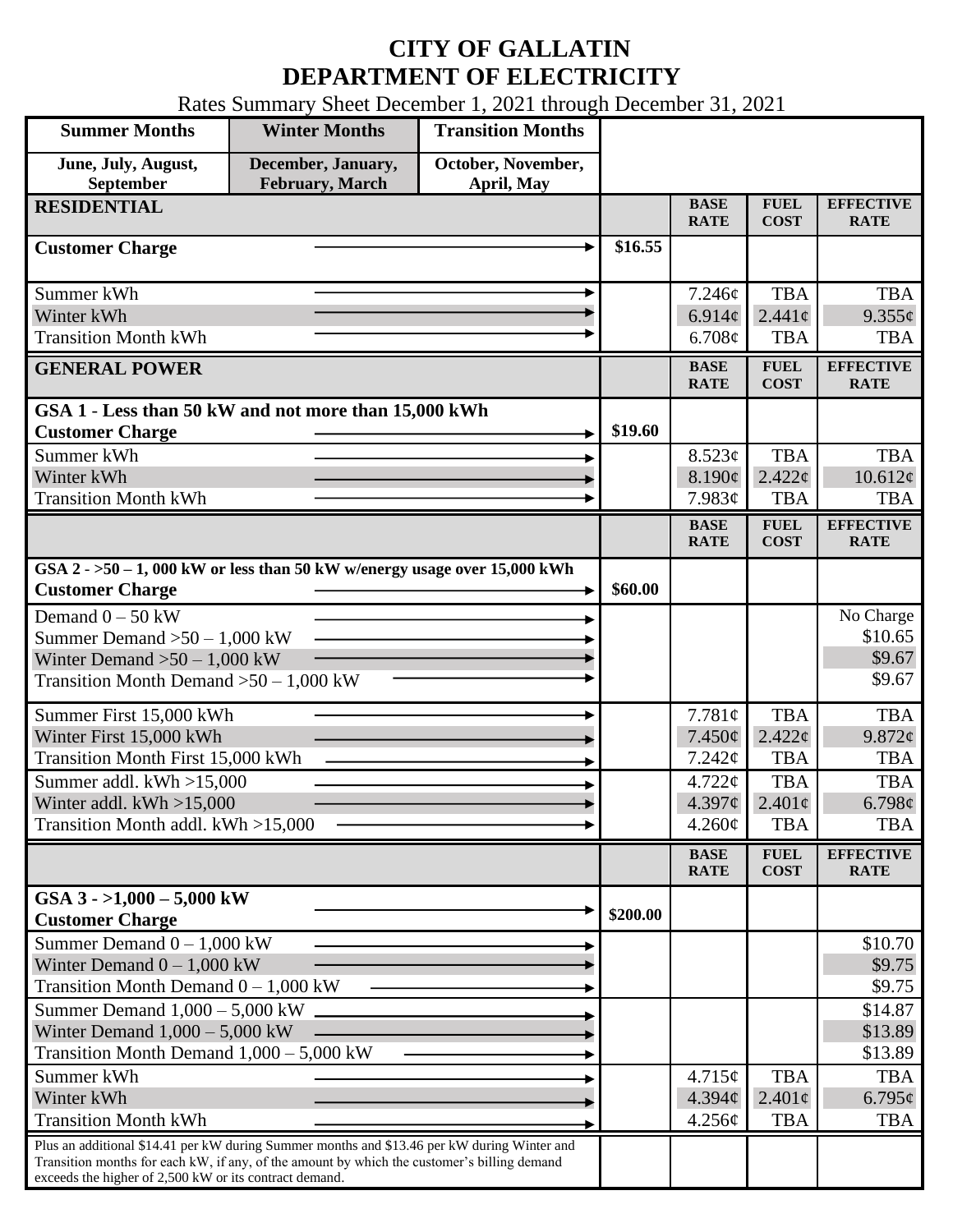## **CITY OF GALLATIN DEPARTMENT OF ELECTRICITY**

Rates Summary Sheet December 1, 2021 through December 31, 2021

| <b>Summer Months</b>                                                                                                                                                                                                                                 | <b>Winter Months</b>                         | <b>Transition Months</b>         |          |                            |                            |                                 |
|------------------------------------------------------------------------------------------------------------------------------------------------------------------------------------------------------------------------------------------------------|----------------------------------------------|----------------------------------|----------|----------------------------|----------------------------|---------------------------------|
| June, July, August,<br>September                                                                                                                                                                                                                     | December, January,<br><b>February, March</b> | October, November,<br>April, May |          |                            |                            |                                 |
| <b>RESIDENTIAL</b>                                                                                                                                                                                                                                   |                                              |                                  |          | <b>BASE</b><br><b>RATE</b> | <b>FUEL</b><br><b>COST</b> | <b>EFFECTIVE</b><br><b>RATE</b> |
| <b>Customer Charge</b>                                                                                                                                                                                                                               |                                              |                                  | \$16.55  |                            |                            |                                 |
| Summer kWh                                                                                                                                                                                                                                           |                                              |                                  |          | 7.246¢                     | <b>TBA</b>                 | <b>TBA</b>                      |
| Winter kWh                                                                                                                                                                                                                                           |                                              |                                  |          | 6.914 $\phi$               | $2.441\ell$                | $9.355\phi$                     |
| <b>Transition Month kWh</b>                                                                                                                                                                                                                          |                                              |                                  |          | 6.708¢                     | <b>TBA</b>                 | <b>TBA</b>                      |
| <b>GENERAL POWER</b>                                                                                                                                                                                                                                 |                                              |                                  |          | <b>BASE</b><br><b>RATE</b> | <b>FUEL</b><br><b>COST</b> | <b>EFFECTIVE</b><br><b>RATE</b> |
| GSA 1 - Less than 50 kW and not more than 15,000 kWh                                                                                                                                                                                                 |                                              |                                  |          |                            |                            |                                 |
| <b>Customer Charge</b>                                                                                                                                                                                                                               |                                              |                                  | \$19.60  |                            |                            |                                 |
| Summer kWh<br>Winter kWh                                                                                                                                                                                                                             |                                              |                                  |          | 8.523¢<br>8.190¢           | <b>TBA</b><br>2.422c       | <b>TBA</b><br>10.612¢           |
| <b>Transition Month kWh</b>                                                                                                                                                                                                                          |                                              |                                  |          | 7.983¢                     | <b>TBA</b>                 | <b>TBA</b>                      |
|                                                                                                                                                                                                                                                      |                                              |                                  |          | <b>BASE</b>                | <b>FUEL</b>                | <b>EFFECTIVE</b>                |
|                                                                                                                                                                                                                                                      |                                              |                                  |          | <b>RATE</b>                | <b>COST</b>                | <b>RATE</b>                     |
| GSA $2 - 50 - 1$ , 000 kW or less than 50 kW w/energy usage over 15,000 kWh<br><b>Customer Charge</b>                                                                                                                                                |                                              |                                  | \$60.00  |                            |                            |                                 |
| Demand $0 - 50$ kW                                                                                                                                                                                                                                   |                                              |                                  |          |                            |                            | No Charge                       |
| Summer Demand $>50 - 1,000$ kW                                                                                                                                                                                                                       |                                              |                                  |          |                            |                            | \$10.65                         |
| Winter Demand $>50-1,000$ kW                                                                                                                                                                                                                         |                                              |                                  |          |                            |                            | \$9.67                          |
| Transition Month Demand $>50-1,000$ kW                                                                                                                                                                                                               |                                              |                                  |          |                            |                            | \$9.67                          |
| Summer First 15,000 kWh                                                                                                                                                                                                                              |                                              |                                  |          | 7.781¢                     | <b>TBA</b>                 | <b>TBA</b>                      |
| Winter First 15,000 kWh                                                                                                                                                                                                                              |                                              |                                  |          | $7.450\phi$                | $2.422 \phi$               | 9.872¢                          |
| <b>Transition Month First 15,000 kWh</b>                                                                                                                                                                                                             |                                              |                                  |          | 7.242¢                     | <b>TBA</b>                 | <b>TBA</b>                      |
| Summer addl. kWh >15,000                                                                                                                                                                                                                             |                                              |                                  |          | $4.722 \mathcal{C}$        | <b>TBA</b>                 | <b>TBA</b>                      |
| Winter addl. $kWh > 15,000$                                                                                                                                                                                                                          |                                              |                                  |          | 4.397¢                     | $2.401\phi$                | 6.798¢                          |
| Transition Month addl. kWh >15,000                                                                                                                                                                                                                   |                                              |                                  |          | $4.260\phi$                | <b>TBA</b>                 | <b>TBA</b>                      |
|                                                                                                                                                                                                                                                      |                                              |                                  |          | <b>BASE</b><br><b>RATE</b> | <b>FUEL</b><br><b>COST</b> | <b>EFFECTIVE</b><br><b>RATE</b> |
| GSA $3 - 1,000 - 5,000$ kW<br><b>Customer Charge</b>                                                                                                                                                                                                 |                                              |                                  | \$200.00 |                            |                            |                                 |
| Summer Demand $0 - 1,000$ kW                                                                                                                                                                                                                         |                                              |                                  |          |                            |                            | \$10.70                         |
| Winter Demand $0 - 1,000$ kW                                                                                                                                                                                                                         |                                              |                                  |          |                            |                            | \$9.75                          |
| Transition Month Demand $0 - 1,000$ kW                                                                                                                                                                                                               |                                              |                                  |          |                            |                            | \$9.75                          |
| Summer Demand $1,000 - 5,000$ kW                                                                                                                                                                                                                     |                                              |                                  |          |                            |                            | \$14.87                         |
| Winter Demand $1,000 - 5,000$ kW<br>Transition Month Demand $1,000 - 5,000$ kW                                                                                                                                                                       |                                              |                                  |          |                            |                            | \$13.89<br>\$13.89              |
| Summer kWh                                                                                                                                                                                                                                           |                                              |                                  |          | 4.715¢                     | <b>TBA</b>                 | <b>TBA</b>                      |
| Winter kWh                                                                                                                                                                                                                                           |                                              |                                  |          | 4.394¢                     | $2.401\text{c}$            | $6.795\phi$                     |
| <b>Transition Month kWh</b>                                                                                                                                                                                                                          |                                              |                                  |          | 4.256¢                     | <b>TBA</b>                 | <b>TBA</b>                      |
| Plus an additional \$14.41 per kW during Summer months and \$13.46 per kW during Winter and<br>Transition months for each kW, if any, of the amount by which the customer's billing demand<br>exceeds the higher of 2,500 kW or its contract demand. |                                              |                                  |          |                            |                            |                                 |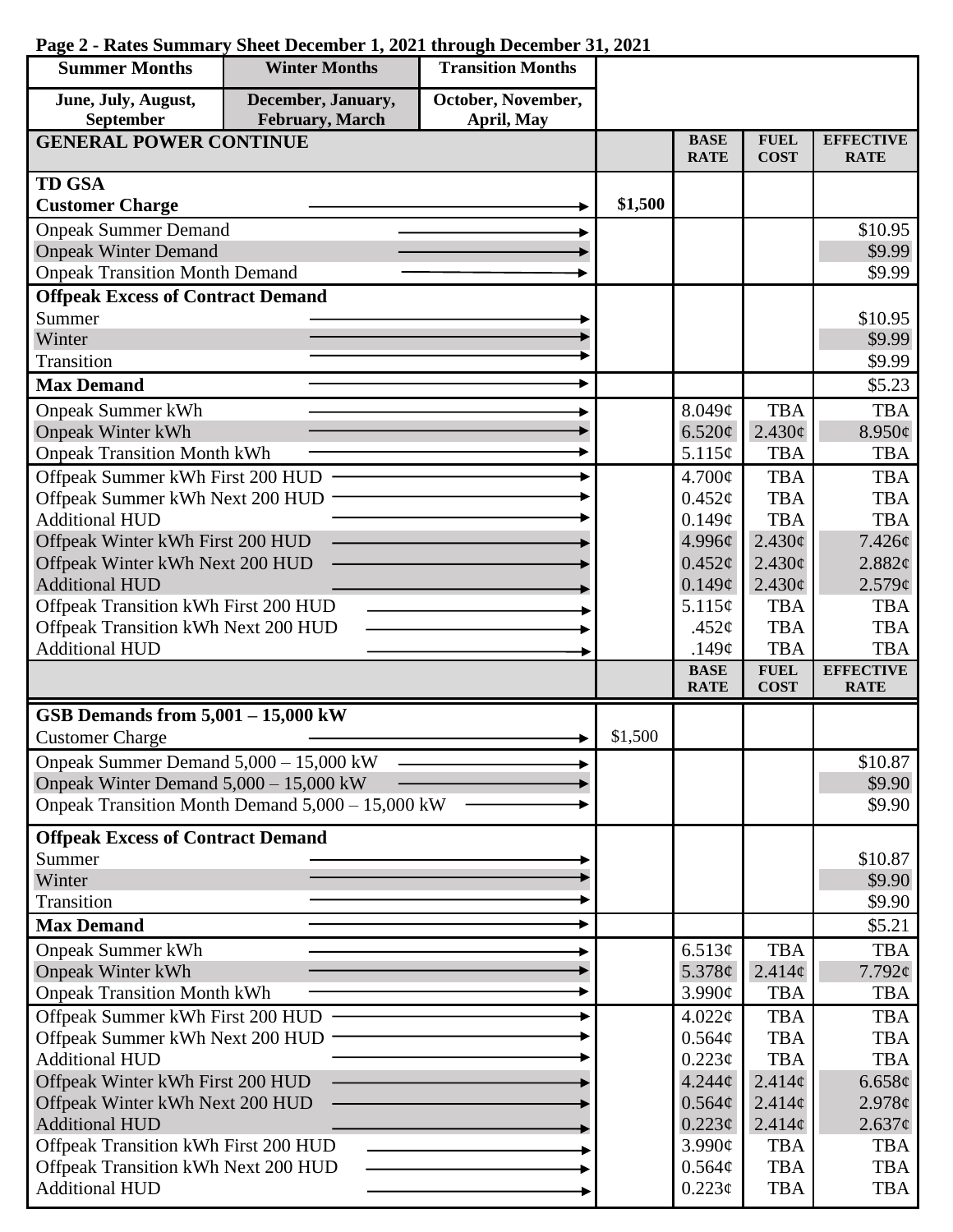| <b>Summer Months</b>                                                        | <b>Winter Months</b>                             | <b>Transition Months</b> |         |                            |                            |                                 |
|-----------------------------------------------------------------------------|--------------------------------------------------|--------------------------|---------|----------------------------|----------------------------|---------------------------------|
| June, July, August,                                                         | December, January,                               | October, November,       |         |                            |                            |                                 |
| September                                                                   | February, March                                  | April, May               |         |                            |                            |                                 |
| <b>GENERAL POWER CONTINUE</b>                                               |                                                  |                          |         | <b>BASE</b><br><b>RATE</b> | <b>FUEL</b><br><b>COST</b> | <b>EFFECTIVE</b><br><b>RATE</b> |
| <b>TD GSA</b>                                                               |                                                  |                          |         |                            |                            |                                 |
| <b>Customer Charge</b>                                                      |                                                  |                          | \$1,500 |                            |                            |                                 |
| <b>Onpeak Summer Demand</b>                                                 |                                                  |                          |         |                            |                            | \$10.95                         |
| <b>Onpeak Winter Demand</b>                                                 |                                                  |                          |         |                            |                            | \$9.99                          |
| <b>Onpeak Transition Month Demand</b>                                       |                                                  |                          |         |                            |                            | \$9.99                          |
| <b>Offpeak Excess of Contract Demand</b>                                    |                                                  |                          |         |                            |                            |                                 |
| Summer                                                                      |                                                  |                          |         |                            |                            | \$10.95                         |
| Winter                                                                      |                                                  |                          |         |                            |                            | \$9.99                          |
| Transition                                                                  |                                                  |                          |         |                            |                            | \$9.99                          |
| <b>Max Demand</b>                                                           |                                                  |                          |         |                            |                            | \$5.23                          |
| <b>Onpeak Summer kWh</b>                                                    |                                                  |                          |         | 8.049¢                     | <b>TBA</b>                 | <b>TBA</b>                      |
| <b>Onpeak Winter kWh</b>                                                    |                                                  |                          |         | 6.520¢                     | 2.430¢                     | $8.950\phi$                     |
| <b>Onpeak Transition Month kWh</b>                                          |                                                  |                          |         | 5.115¢                     | <b>TBA</b>                 | <b>TBA</b>                      |
| Offpeak Summer kWh First 200 HUD                                            |                                                  |                          |         | $4.700\text{¢}$            | <b>TBA</b>                 | <b>TBA</b>                      |
| Offpeak Summer kWh Next 200 HUD                                             |                                                  |                          |         | $0.452\varphi$             | <b>TBA</b>                 | <b>TBA</b>                      |
| <b>Additional HUD</b>                                                       |                                                  |                          |         | 0.149¢                     | <b>TBA</b>                 | <b>TBA</b>                      |
| Offpeak Winter kWh First 200 HUD                                            |                                                  |                          |         | 4.996¢                     | 2.430¢                     | $7.426\ell$                     |
| Offpeak Winter kWh Next 200 HUD                                             |                                                  |                          |         | $0.452\epsilon$            | $2.430\phi$                | 2.882¢                          |
| <b>Additional HUD</b>                                                       |                                                  |                          |         | 0.149¢                     | 2.430¢                     | 2.579¢                          |
| Offpeak Transition kWh First 200 HUD                                        |                                                  |                          |         | 5.115¢<br>.452 $\phi$      | <b>TBA</b><br><b>TBA</b>   | <b>TBA</b><br><b>TBA</b>        |
| Offpeak Transition kWh Next 200 HUD<br><b>Additional HUD</b>                |                                                  |                          |         | .149 $\phi$                | <b>TBA</b>                 | <b>TBA</b>                      |
|                                                                             |                                                  |                          |         | <b>BASE</b>                | <b>FUEL</b>                | <b>EFFECTIVE</b>                |
|                                                                             |                                                  |                          |         | <b>RATE</b>                | <b>COST</b>                | <b>RATE</b>                     |
| GSB Demands from $5,001 - 15,000$ kW                                        |                                                  |                          |         |                            |                            |                                 |
| <b>Customer Charge</b>                                                      |                                                  |                          | \$1,500 |                            |                            |                                 |
| Onpeak Summer Demand $5,000 - 15,000$ kW                                    |                                                  |                          |         |                            |                            | \$10.87                         |
| Onpeak Winter Demand $5,000 - 15,000$ kW                                    |                                                  |                          |         |                            |                            | \$9.90                          |
|                                                                             | Onpeak Transition Month Demand 5,000 - 15,000 kW |                          |         |                            |                            | \$9.90                          |
| <b>Offpeak Excess of Contract Demand</b>                                    |                                                  |                          |         |                            |                            |                                 |
| Summer                                                                      |                                                  |                          |         |                            |                            | \$10.87                         |
| Winter                                                                      |                                                  |                          |         |                            |                            | \$9.90                          |
| Transition                                                                  |                                                  |                          |         |                            |                            | \$9.90                          |
| <b>Max Demand</b>                                                           |                                                  |                          |         |                            |                            | \$5.21                          |
| <b>Onpeak Summer kWh</b>                                                    |                                                  |                          |         | 6.513¢                     | <b>TBA</b>                 | <b>TBA</b>                      |
| <b>Onpeak Winter kWh</b>                                                    |                                                  |                          |         | 5.378 $\phi$               | $2.414\phi$                | $7.792\phi$                     |
| <b>Onpeak Transition Month kWh</b>                                          |                                                  |                          |         | 3.990¢                     | <b>TBA</b>                 | TBA                             |
| Offpeak Summer kWh First 200 HUD                                            |                                                  |                          |         | $4.022\phi$                | <b>TBA</b>                 | <b>TBA</b>                      |
| Offpeak Summer kWh Next 200 HUD                                             |                                                  |                          |         | 0.564¢                     | <b>TBA</b>                 | <b>TBA</b>                      |
| <b>Additional HUD</b>                                                       |                                                  |                          |         | 0.223¢                     | <b>TBA</b>                 | <b>TBA</b>                      |
| Offpeak Winter kWh First 200 HUD                                            |                                                  |                          |         | $4.244\phi$                | 2.414c                     | 6.658¢                          |
| Offpeak Winter kWh Next 200 HUD                                             |                                                  |                          |         | 0.564¢                     | $2.414\phi$                | 2.978¢                          |
| <b>Additional HUD</b>                                                       |                                                  |                          |         | $0.223\phi$                | 2.414¢                     | $2.637\phi$                     |
| Offpeak Transition kWh First 200 HUD<br>Offpeak Transition kWh Next 200 HUD |                                                  |                          |         | $3.990\text{¢}$            | <b>TBA</b>                 | <b>TBA</b>                      |
| <b>Additional HUD</b>                                                       |                                                  |                          |         | $0.564\phi$<br>$0.223\phi$ | <b>TBA</b><br><b>TBA</b>   | <b>TBA</b><br><b>TBA</b>        |
|                                                                             |                                                  |                          |         |                            |                            |                                 |

## **Page 2 - Rates Summary Sheet December 1, 2021 through December 31, 2021**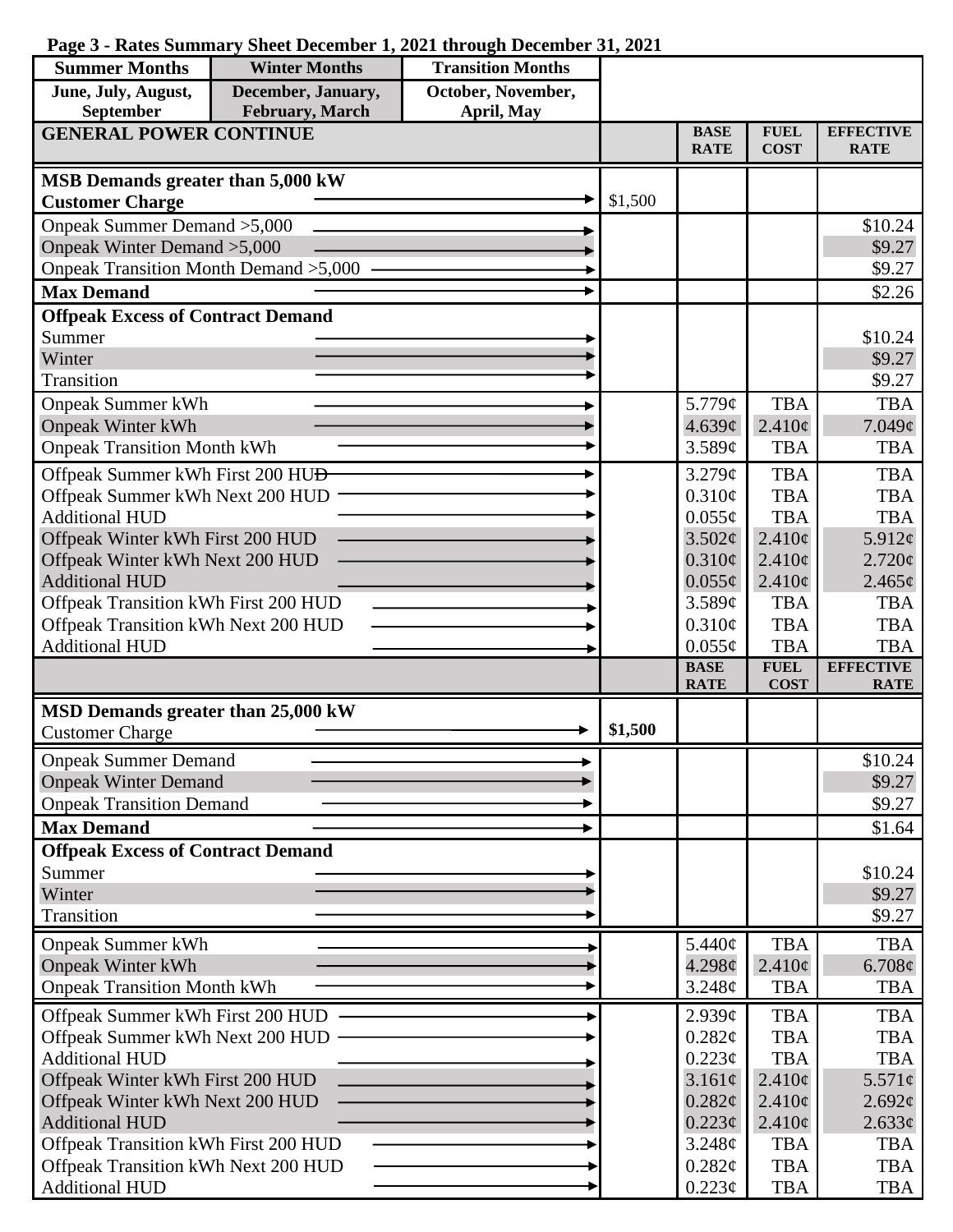|  |  |  |  | Page 3 - Rates Summary Sheet December 1, 2021 through December 31, 2021 |  |
|--|--|--|--|-------------------------------------------------------------------------|--|
|--|--|--|--|-------------------------------------------------------------------------|--|

| <b>Summer Months</b>                                     | <b>Winter Months</b> | <b>Transition Months</b> |         |                            |                            |                                 |
|----------------------------------------------------------|----------------------|--------------------------|---------|----------------------------|----------------------------|---------------------------------|
| June, July, August,                                      | December, January,   | October, November,       |         |                            |                            |                                 |
| September                                                | February, March      | April, May               |         |                            |                            |                                 |
| <b>GENERAL POWER CONTINUE</b>                            |                      |                          |         | <b>BASE</b><br><b>RATE</b> | <b>FUEL</b><br><b>COST</b> | <b>EFFECTIVE</b><br><b>RATE</b> |
| MSB Demands greater than 5,000 kW                        |                      |                          |         |                            |                            |                                 |
| <b>Customer Charge</b>                                   |                      |                          | \$1,500 |                            |                            |                                 |
| Onpeak Summer Demand > 5,000                             |                      |                          |         |                            |                            | \$10.24                         |
| Onpeak Winter Demand > 5,000                             |                      |                          |         |                            |                            | \$9.27                          |
| Onpeak Transition Month Demand > 5,000                   |                      |                          |         |                            |                            | \$9.27                          |
| <b>Max Demand</b>                                        |                      |                          |         |                            |                            | \$2.26                          |
| <b>Offpeak Excess of Contract Demand</b>                 |                      |                          |         |                            |                            |                                 |
| Summer                                                   |                      |                          |         |                            |                            | \$10.24                         |
| Winter                                                   |                      |                          |         |                            |                            | \$9.27                          |
| Transition                                               |                      |                          |         |                            |                            | \$9.27                          |
| <b>Onpeak Summer kWh</b>                                 |                      |                          |         | 5.779¢                     | <b>TBA</b>                 | <b>TBA</b>                      |
| <b>Onpeak Winter kWh</b>                                 |                      |                          |         | 4.639¢                     | $2.410\phi$                | 7.049¢                          |
| <b>Onpeak Transition Month kWh</b>                       |                      |                          |         | 3.589¢                     | <b>TBA</b>                 | <b>TBA</b>                      |
| Offpeak Summer kWh First 200 HU <del>D</del>             |                      |                          |         | 3.279¢                     | <b>TBA</b>                 | <b>TBA</b>                      |
| Offpeak Summer kWh Next 200 HUD                          |                      |                          |         | 0.310¢                     | <b>TBA</b>                 | <b>TBA</b>                      |
| <b>Additional HUD</b>                                    |                      |                          |         | $0.055\phi$                | <b>TBA</b>                 | <b>TBA</b>                      |
| Offpeak Winter kWh First 200 HUD                         |                      |                          |         | 3.502¢                     | $2.410\phi$                | 5.912¢                          |
| Offpeak Winter kWh Next 200 HUD<br><b>Additional HUD</b> |                      |                          |         | $0.310\phi$                | $2.410\epsilon$            | 2.720¢                          |
| Offpeak Transition kWh First 200 HUD                     |                      |                          |         | $0.055\phi$<br>3.589¢      | $2.410\phi$<br><b>TBA</b>  | $2.465\ell$<br><b>TBA</b>       |
| Offpeak Transition kWh Next 200 HUD                      |                      |                          |         | $0.310\phi$                | <b>TBA</b>                 | <b>TBA</b>                      |
| <b>Additional HUD</b>                                    |                      |                          |         | $0.055\phi$                | <b>TBA</b>                 | <b>TBA</b>                      |
|                                                          |                      |                          |         | <b>BASE</b>                | <b>FUEL</b>                | <b>EFFECTIVE</b>                |
|                                                          |                      |                          |         | <b>RATE</b>                | <b>COST</b>                | <b>RATE</b>                     |
| MSD Demands greater than 25,000 kW                       |                      |                          |         |                            |                            |                                 |
| <b>Customer Charge</b>                                   |                      |                          | \$1,500 |                            |                            |                                 |
| <b>Onpeak Summer Demand</b>                              |                      |                          |         |                            |                            | \$10.24                         |
| <b>Onpeak Winter Demand</b>                              |                      |                          |         |                            |                            | \$9.27                          |
| <b>Onpeak Transition Demand</b>                          |                      |                          |         |                            |                            | \$9.27                          |
| <b>Max Demand</b>                                        |                      |                          |         |                            |                            | \$1.64                          |
| <b>Offpeak Excess of Contract Demand</b>                 |                      |                          |         |                            |                            |                                 |
| Summer                                                   |                      |                          |         |                            |                            | \$10.24                         |
| Winter                                                   |                      |                          |         |                            |                            | \$9.27                          |
| Transition                                               |                      |                          |         |                            |                            | \$9.27                          |
| <b>Onpeak Summer kWh</b>                                 |                      |                          |         | 5.440¢                     | <b>TBA</b>                 | <b>TBA</b>                      |
| <b>Onpeak Winter kWh</b>                                 |                      |                          |         | 4.298¢                     | $2.410\phi$                | 6.708¢                          |
| <b>Onpeak Transition Month kWh</b>                       |                      |                          |         | 3.248¢                     | <b>TBA</b>                 | <b>TBA</b>                      |
| Offpeak Summer kWh First 200 HUD                         |                      |                          |         | 2.939¢                     | <b>TBA</b>                 | <b>TBA</b>                      |
| Offpeak Summer kWh Next 200 HUD                          |                      |                          |         | 0.282¢                     | <b>TBA</b>                 | <b>TBA</b>                      |
| <b>Additional HUD</b>                                    |                      |                          |         | $0.223\phi$                | <b>TBA</b>                 | <b>TBA</b>                      |
| Offpeak Winter kWh First 200 HUD                         |                      |                          |         | 3.161¢                     | $2.410\phi$                | 5.571¢                          |
| Offpeak Winter kWh Next 200 HUD                          |                      |                          |         | 0.282¢                     | $2.410\phi$                | 2.692¢                          |
| <b>Additional HUD</b>                                    |                      |                          |         | $0.223\phi$                | $2.410\phi$                | 2.633¢                          |
| Offpeak Transition kWh First 200 HUD                     |                      |                          |         | 3.248¢                     | <b>TBA</b>                 | <b>TBA</b>                      |
| Offpeak Transition kWh Next 200 HUD                      |                      |                          |         | $0.282\ell$                | <b>TBA</b>                 | <b>TBA</b>                      |
| <b>Additional HUD</b>                                    |                      |                          |         | 0.223¢                     | <b>TBA</b>                 | TBA                             |